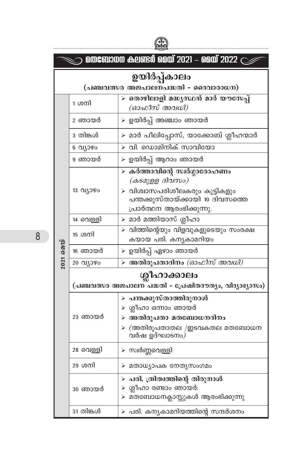| മതബോധന കലണ്ടർ മെയ് 2021 – മെയ് 2022 $\sub$ |                                                                         |                                                                                                                                                   |  |  |
|--------------------------------------------|-------------------------------------------------------------------------|---------------------------------------------------------------------------------------------------------------------------------------------------|--|--|
|                                            | ഉയിർപ്പ്കാലം<br>(പഞ്ചവത്സര അജപാലനപദ്ധതി - ദൈവാരാധന)                     |                                                                                                                                                   |  |  |
|                                            | 1 ശനി                                                                   | ≻ തൊഴിലാളി മദ്ധ്യസ്ഥൻ മാർ യൗസേപ്പ്<br>(ഓഫീസ് അവധി)                                                                                                |  |  |
|                                            | 2 ഞായർ                                                                  | ≻ ഉയിർപ്പ് അഞ്ചാം ഞായർ                                                                                                                            |  |  |
|                                            | 3 തിങ്കൾ                                                                | ≻ മാർ പീലിപ്പോസ്, യാക്കോബ് ശ്ലീഹന്മാർ                                                                                                             |  |  |
|                                            | 6 വ്യാഴം                                                                | വി. ഡൊമിനിക് സാവിയോ<br>$\blacktriangleright$                                                                                                      |  |  |
|                                            | 9 ഞായർ                                                                  | ഉയിർപ്പ് ആറാം ഞായർ<br>⋗                                                                                                                           |  |  |
|                                            | 13 വ്യാഴം                                                               | ≻ കർത്താവിന്റെ സ്വർഗ്ഗാരോഹണം<br>(കടമുള്ള ദിവസം)<br>≻ വിശ്വാസപരിശീലകരും കുട്ടികളും<br>പന്തക്കുസ്തായ്ക്കായി 10 ദിവസത്തെ<br>പ്രാർത്ഥന ആരംഭിക്കുന്നു. |  |  |
|                                            | 14 വെള്ളി                                                               | ≻ മാർ മത്തിയാസ് ശ്ലീഹാ                                                                                                                            |  |  |
|                                            | 15 ശനി                                                                  | ≻ വിത്തിന്റെയും വിളവുകളുടെയും സംരക്ഷ<br>കയായ പരി. കന്യകാമറിയം                                                                                     |  |  |
| 2021 മെയ്                                  | 16 ഞായർ                                                                 | ≻ ഉയിർപ്പ് ഏഴാം ഞായർ                                                                                                                              |  |  |
|                                            | 20 വ്യാഴം                                                               | ≽ അതിരൂപതാദിനം <i>(ഓഫീസ് അവധി)</i>                                                                                                                |  |  |
|                                            | ശ്ലീഹാക്കാലം<br>(പഞ്ചവത്സര അജപാലന പദ്ധതി - പ്രേഷിതദൗത്യം, വിദ്യാഭ്യാസം) |                                                                                                                                                   |  |  |
|                                            | 23 ഞായർ                                                                 | ≻ പന്തക്കുസ്താത്തിരുനാൾ<br>≻ ശ്ലീഹാ ഒന്നാം ഞായർ<br>≻ അതിരൂപതാ മതബോധനദിനം<br>$\triangleright$ (അതിരൂപതാതല /ഇടവകതല മതബോധന<br>വർഷ ഉദ്ഘാടനം)          |  |  |
|                                            | 28 വെള്ളി                                                               | ≻ സ്വർണ്ണവെള്ളി                                                                                                                                   |  |  |
|                                            | 29 ശനി                                                                  | ≻ മതാധ്യാപക നേതൃസംഗമം                                                                                                                             |  |  |
|                                            | 30 ഞായർ                                                                 | പരി. ത്രിത്വത്തിന്റെ തിരുനാൾ<br>⋗<br>ശ്ലീഹാ രണ്ടാം ഞായർ:<br>≻ മതബോധനക്ലാസ്സുകൾ ആരംഭിക്കുന്നു                                                      |  |  |
|                                            | 31 തിങ്കൾ                                                               | ≻ പരി. കനൃകാമറിയത്തിന്റെ സന്ദർശനം                                                                                                                 |  |  |

FIN

 $8<sup>1</sup>$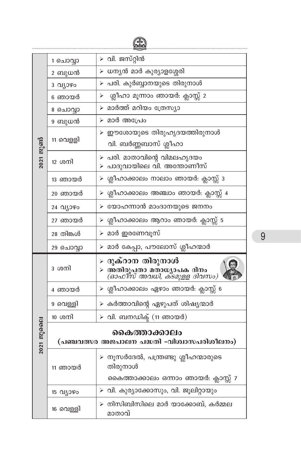|           | 1 ചൊവ്വാ     | ≻ വി. ജസ്റ്റിൻ                                                                      |  |
|-----------|--------------|-------------------------------------------------------------------------------------|--|
|           | 2 ബുധൻ       | ≻ ധനൃൻ മാർ കുര്യാളശ്ശേരി                                                            |  |
|           | 3 വ്യാഴം     | ≻ പരി. കുർബ്ബാനയുടെ തിരുനാൾ                                                         |  |
|           | 6 ഞായർ       | ശ്ലീഹാ മൂന്നാം ഞായർ: ക്ലാസ്സ് 2<br>⋗                                                |  |
|           | 8 ചൊവ്വാ     | ≻ മാർത്ത് മറിയം ത്രേസ്യാ                                                            |  |
|           | 9 ബുധൻ       | ≻ മാർ അപ്രേം                                                                        |  |
|           | 11 വെളളി     | ≻ ഈശോയുടെ തിരുഹൃദയത്തിരുനാൾ                                                         |  |
|           |              | വി. ബർണ്ണബാസ് ശ്ലീഹാ                                                                |  |
| 2021 ജൂൺ  | 12 ശനി       | ≻ പരി. മാതാവിന്റെ വിമലഹൃദയം<br>≻ പാദുവായിലെ വി. അന്തോണീസ്                           |  |
|           | 13 ഞായർ      | ≻ ശ്ലീഹാക്കാലം നാലാം ഞായർ: ക്ലാസ്സ് 3                                               |  |
|           | 20 ഞായർ      | ≻ ശ്ലീഹാക്കാലം അഞ്ചാം ഞായർ: ക്ലാസ്സ് 4                                              |  |
|           | 24 വ്യാഴം    | ≻ യോഹന്നാൻ മാംദാനയുടെ ജനനം                                                          |  |
|           | 27 ഞായർ      | ≻ ശ്ലീഹാക്കാലം ആറാം ഞായർ: ക്ലാസ്സ് 5                                                |  |
|           | 28 തിങ്കൾ    | ≻ മാർ ഇരണേവൂസ്                                                                      |  |
|           | 29 ചൊവ്വാ    | ≻ മാർ കേപ്പാ, പൗലോസ് ശ്ലീഹന്മാർ                                                     |  |
|           | 3 ശനി        | ⊳ ദുക്റാന തിരുനാൾ<br>≽ അതിരൂപതാ മതാധ്യാപക ദിനം<br><i>(ഓഫീസ് അവധി, കടമുളള ദിവസം)</i> |  |
|           | 4 ഞായർ       | ≻ ശ്ലീഹാക്കാലം ഏഴാം ഞായർ: ക്ലാസ്സ് 6                                                |  |
|           | 9 വെള്ളി     | ≻ കർത്താവിന്റെ ഏഴുപത് ശിഷ്യന്മാർ                                                    |  |
|           | 10 ശനി       | ≻ വി. ബനഡിക് (11 ഞായർ)                                                              |  |
| 2021 ജൂലൈ | കൈത്താക്കാലം |                                                                                     |  |
|           |              | (പഞ്ചവത്സര അജപാലന പദ്ധതി -വിശ്വാസപരിശീലനം)                                          |  |
|           | 11 ഞായർ      | ≻ നൂസർദേൽ, പന്ത്രണ്ടു ശ്ലീഹന്മാരുടെ<br>തിരുനാൾ                                      |  |
|           |              | കൈത്താക്കാലം ഒന്നാം ഞായർ: ക്ലാസ്സ് 7                                                |  |
|           | 15 വ്യാഴം    | ≻ വി. കുര്യാക്കോസും, വി. ജൂലിറ്റായും                                                |  |
|           | 16 വെള്ളി    | നിസിബിസിലെ മാർ യാക്കോബ്, കർമ്മല<br>മാതാവ്                                           |  |

 $\overline{9}$ 

 $\mathbb{R}$ 

.................................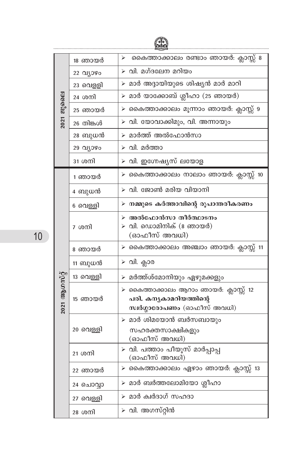| 2021 ജൂലൈ       | 18 ഞായർ   | കൈത്താക്കാലം രണ്ടാം ഞായർ: ക്ലാസ്സ് 8<br>⋗                                                     |
|-----------------|-----------|-----------------------------------------------------------------------------------------------|
|                 | 22 വ്യാഴം | $\triangleright$ വി. മഗ്ദലേന മറിയം                                                            |
|                 | 23 വെള്ളി | മാർ അദ്ദായിയുടെ ശിഷ്യൻ മാർ മാറി                                                               |
|                 | 24 ശനി    | $\triangleright$ മാർ യാക്കോബ് ശ്ലീഹാ (25 ഞായർ)                                                |
|                 | 25 ഞായർ   | ≻ കൈത്താക്കാലം മൂന്നാം ഞായർ: ക്ലാസ്സ് 9                                                       |
|                 | 26 തിങ്കൾ | വി. യോവാക്കിമും, വി. അന്നായും<br>⋗                                                            |
|                 | 28 ബുധൻ   | മാർത്ത് അൽഫോൻസാ                                                                               |
|                 | 29 വ്യാഴം | ≻ വി. മർത്താ                                                                                  |
|                 | 31 ശനി    | $\triangleright$ വി. ഇഗ്നേഷ്യസ് ലയോള                                                          |
|                 | 1 ഞായർ    | കൈത്താക്കാലം നാലാം ഞായർ: ക്ലാസ്സ് 10                                                          |
|                 | 4 ബുധൻ    | വി. ജോൺ മരിയ വിയാനി                                                                           |
|                 | 6 വെള്ളി  | നമ്മുടെ കർത്താവിന്റെ രൂപാന്തരീകരണം<br>⋗                                                       |
|                 | 7 ശനി     | അൽഫോൻസാ തീർത്ഥാടനം<br>⋗<br>$\triangleright$ വി. ഡൊമിനിക് (8 ഞായർ)<br>(ഓഫീസ് അവധി)             |
|                 | 8 ഞായർ    | ≻ കൈത്താക്കാലം അഞ്ചാം ഞായർ: ക്ലാസ്സ് 11                                                       |
|                 | 11 ബുധൻ   | ≻ വി. ക്ലാര                                                                                   |
|                 | 13 വെള്ളി | മർത്ത്ശ്മോനിയും ഏഴുമക്കളും<br>⋗                                                               |
| $2021$ ആഗസ്റ്റ് | 15 ഞായർ   | ≻ കൈത്താക്കാലം ആറാം ഞായർ: ക്ലാസ്സ് 12<br>പരി. കനൃകാമറിയത്തിന്റെ<br>സ്വർഗ്ഗാരോപണം (ഓഫീസ് അവധി) |
|                 | 20 വെള്ളി | $\triangleright$ മാർ ശിമയോൻ ബർസബായും<br>സഹരക്തസാക്ഷികളും<br>(ഓഫീസ് അവധി)                      |
|                 | 21 ശനി    | ≻ വി. പത്താം പീയൂസ് മാർപ്പാപ്പ<br>(ഓഫീസ് അവധി)                                                |
|                 | 22 ഞായർ   | $\triangleright$ കൈത്താക്കാലം ഏഴാം ഞായർ: ക്ലാസ്സ് 13                                          |
|                 | 24 ചൊവ്വാ | $\triangleright$ മാർ ബർത്തലോമിയോ ശ്ലീഹാ                                                       |
|                 | 27 വെള്ളി | മാർ ക്വർദാഗ് സഹദാ<br>↘                                                                        |
|                 | 28 ശനി    | $\triangleright$ വി. അഗസ്റ്റിൻ                                                                |

(f.)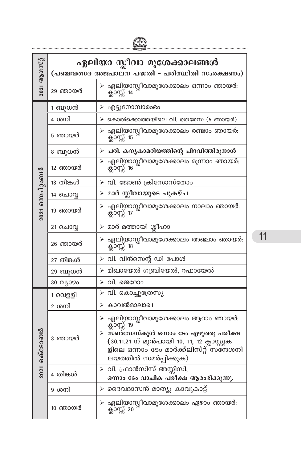| $2021$ ആഗസ്റ്റ് | ഏലിയാ സ്ലീവാ മൂശേക്കാലങ്ങൾ<br>(പഞ്ചവത്സര അജപാലന പദ്ധതി - പരിസ്ഥിതി സംരക്ഷണം) |                                                                                                                                                                                                                 |
|-----------------|------------------------------------------------------------------------------|-----------------------------------------------------------------------------------------------------------------------------------------------------------------------------------------------------------------|
|                 | 29 ഞായർ                                                                      | ഏലിയാസ്ലീവാമൂശേക്കാലം ഒന്നാം ഞായർ:<br>ക്ലാസ്സ് 14                                                                                                                                                               |
|                 | 1 ബുധൻ                                                                       | ⋗<br>എട്ടുനോമ്പാരംഭം                                                                                                                                                                                            |
|                 | 4 ശനി                                                                        | $\triangleright$ കൊൽക്കൊത്തയിലെ വി. തെരേസ (5 ഞായർ)                                                                                                                                                              |
|                 | 5 ഞായർ                                                                       | ഏലിയാസ്ലീവാമൂശേക്കാലം രണ്ടാം ഞായർ:<br>ക്ലാസ്സ് 15<br>➤                                                                                                                                                          |
|                 | 8 ബുധൻ                                                                       | $\triangleright$ പരി. കനൃകാമറിയത്തിന്റെ പിറവിത്തിരുനാൾ                                                                                                                                                          |
|                 | 12 ഞായർ                                                                      | ഏലിയാസ്സീവാമൂശേക്കാലം മൂന്നാം ഞായർ:<br>ക്ലാസ്സ് 16                                                                                                                                                              |
|                 | 13 തിങ്കൾ                                                                    | ≻ വി. ജോൺ ക്രിസോസ്തോം                                                                                                                                                                                           |
|                 | 14 ചൊവ്വ                                                                     | മാർ സ്ലീവായുടെ പുകഴ്ച<br>➤                                                                                                                                                                                      |
| 2021 സെപ്റ്റംബർ | 19 ഞായർ                                                                      | ഏലിയാസ്ലീവാമൂശേക്കാലം നാലാം ഞായർ:<br>ക്ലാസ്സ് 17                                                                                                                                                                |
|                 | 21 ചൊവ്വ                                                                     | മാർ മത്തായി ശ്ലീഹാ<br>➤                                                                                                                                                                                         |
|                 | 26 ഞായർ                                                                      | ഏലിയാസ്ലീവാമൂശേക്കാലം അഞ്ചാം ഞായർ:<br>ക്ലാസ്സ് 18                                                                                                                                                               |
|                 | 27 തിങ്കൾ                                                                    | വി. വിൻസെന്റ് ഡി പോൾ<br>⋗                                                                                                                                                                                       |
|                 | 29 ബുധൻ                                                                      | മിഖായേൽ ഗബ്രിയേൽ, റഫായേൽ<br>⋗                                                                                                                                                                                   |
|                 | 30 വ്യാഴം                                                                    | വി. ജെറോം<br>⋗                                                                                                                                                                                                  |
|                 | 1 വെളളി                                                                      | വി. കൊച്ചുത്രേസ്യ<br>⋗                                                                                                                                                                                          |
|                 | 2 ശനി                                                                        | കാവൽമാലാഖ<br>⋗                                                                                                                                                                                                  |
| 2021 ഒക്ടോബർ    | 3 ഞായർ                                                                       | ഏലിയാസ്ലീവാമൂശേക്കാലം ആറാം ഞായർ:<br>➤<br>ക്ലാസ്സ് 19<br>≻ സൺഡേസ്കൂൾ ഒന്നാം ടേം എഴുത്തു പരീക്ഷ<br>(30.11.21 ന് മുൻപായി 10, 11, 12 ക്ലാസ്സുക<br>ളിലെ ഒന്നാം ടേം മാർക്ക്ലിസ്റ്റ് സന്ദേശനി<br>ലയത്തിൽ സമർപ്പിക്കുക) |
|                 | 4 തിങ്കൾ                                                                     | ≻ വി. ഫ്രാൻസിസ് അസ്സിസി,<br>ഒന്നാം ടേം വാചിക പരീക്ഷ ആരംഭിക്കുന്നു.                                                                                                                                              |
|                 | 9 ശനി                                                                        | ദൈവദാസൻ മാത്യൂ കാവുകാട്ട്<br>⋗                                                                                                                                                                                  |
|                 | 10 ഞായർ                                                                      | ഏലിയാസ്ലീവാമൂശേക്കാലം ഏഴാം ഞായർ:<br>⋗<br>ക്ലാസ്സ് 20                                                                                                                                                            |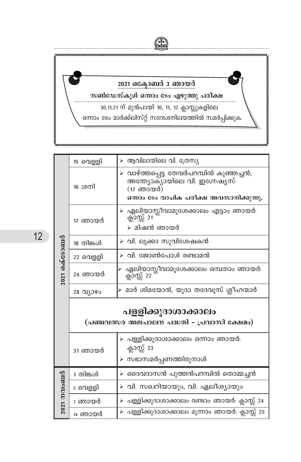

|                   | 15 വെളളി                                                         | $\triangleright$ ആവിലായിലെ വി. ത്രേസ്യ                                                                                            |  |
|-------------------|------------------------------------------------------------------|-----------------------------------------------------------------------------------------------------------------------------------|--|
|                   | 16 ശനി                                                           | ≻ വാഴ്ത്തപ്പെട്ട തേവർപറമ്പിൽ കുഞ്ഞച്ചൻ,<br>അന്ത്യോക്യായിലെ വി. ഇഗ്നേഷ്യസ്<br>(17 ഞായർ)<br>ഒന്നാം ടേം വാചിക പരീക്ഷ അവസാനിക്കുന്നു. |  |
|                   | 17 ഞായർ                                                          | ≻ ഏലിയാസ്ലീവാമൂശേക്കാലം എട്ടാം ഞായർ:<br>ക്ലാസ്സ് 21<br>≻ മിഷൻ ഞായർ                                                                |  |
|                   | 18 തിങ്കൾ                                                        | ≻ വി. ലൂക്കാ സുവിശേഷകൻ                                                                                                            |  |
| 2021 ഒക്ടോബർ      | 22 വെള്ളി                                                        | ≻ വി. ജോൺപോൾ രണ്ടാമൻ                                                                                                              |  |
|                   | 24 ഞായർ                                                          | ഏലിയാസ്ലീവാമൂശേക്കാലം ഒമ്പതാം ഞായർ:<br>ക്ലാസ്സ് 22                                                                                |  |
|                   | 28 വ്യാഴം                                                        | ≻ മാർ ശിമയോൻ, യൂദാ തദേവൂസ് ശ്ലീഹന്മാർ                                                                                             |  |
|                   | പളളിക്കൂദാശാക്കാലം<br>(പഞ്ചവത്സര അജപാലന പദ്ധതി - പ്രവാസി ക്ഷേമം) |                                                                                                                                   |  |
|                   | 31 ഞായർ                                                          | ≻ പള്ളിക്കൂദാശാക്കാലം ഒന്നാം ഞായർ:<br>ക്ലാസ്സ് 23<br>≻ സഭാസമർപ്പണത്തിരുനാൾ                                                        |  |
| $2021$ MOLO $601$ | 1 തിങ്കൾ                                                         | ≻ ദൈവദാസൻ പുത്തൻപറമ്പിൽ തൊമ്മച്ചൻ                                                                                                 |  |
|                   | 5 വെള്ളി                                                         | ≻ വി. സഖറിയായും, വി. ഏലീശ്യായും                                                                                                   |  |
|                   | 7 ഞായർ                                                           | ≻ പള്ളിക്കൂദാശാക്കാലം രണ്ടാം ഞായർ: ക്ലാസ്സ് 24                                                                                    |  |
|                   | 14 ഞായർ                                                          | ≻ പള്ളിക്കൂദാശാക്കാലം മൂന്നാം ഞായർ: ക്ലാസ്സ് 25                                                                                   |  |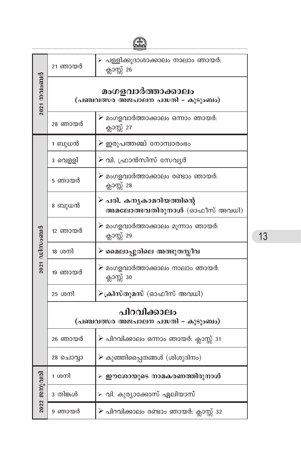| $2021$ Moloopio     | 21 ഞായർ                                                  | ≻ പള്ളിക്കൂദാശാക്കാലം നാലാം ഞായർ:<br>ക്ലാസ്സ് 26         |
|---------------------|----------------------------------------------------------|----------------------------------------------------------|
|                     | മംഗളവാർത്താക്കാലം<br>(പഞ്ചവത്സര അജപാലന പദ്ധതി - കുടുംബം) |                                                          |
|                     | 28 ഞായർ                                                  | ⊁ മംഗളവാർത്താക്കാലം ഒന്നാം ഞായർ:<br>ക്ലാസ്സ് 27          |
|                     | 1 ബുധൻ                                                   | ≻ ഇരുപത്തഞ്ച് നോമ്പാരംഭം                                 |
|                     | 3 വെളളി                                                  | ≻ വി. ഫ്രാൻസിസ് സേവൃർ                                    |
|                     | 5 ഞായർ                                                   | ⊁ മംഗളവാർത്താക്കാലം രണ്ടാം ഞായർ:<br>ക്ലാസ്സ് 28          |
|                     | 8 ബുധൻ                                                   | ≻ പരി. കനൃകാമറിയത്തിന്റെ<br>അമലോത്ഭവതിരുനാൾ (ഓഫീസ് അവധി) |
|                     | 12 ഞായർ                                                  | ≻ മംഗളവാർത്താക്കാലം മൂന്നാം ഞായർ:<br>ക്ലാസ്സ് 29         |
| 2021 ഡിസംബർ         | 18 ശനി                                                   | ≻ മൈലാപ്പൂരിലെ അത്ഭുതസ്ലീവ                               |
|                     | 19 ഞായർ                                                  | ⊁ മംഗളവാർത്താക്കാലം നാലാം ഞായർ:<br>ക്ലാസ്സ് 30           |
|                     | 25 ശനി                                                   | ≻ക്രിസ്തുമസ് (ഓഫീസ് അവധി)                                |
|                     | പിറവിക്കാലം<br>(പഞ്ചവത്സര അജപാലന പദ്ധതി - കുടുംബം)       |                                                          |
|                     | 26 ഞായർ                                                  | ≻ പിറവിക്കാലം ഒന്നാം ഞായർ: ക്ലാസ്സ് 31                   |
|                     | 28 ചൊവ്വാ                                                | $\blacktriangleright$ കുഞ്ഞിപ്പൈതങ്ങൾ $($ ശിശുദിനം $)$   |
|                     | 1 ശനി                                                    | ≻ ഈശോയുടെ നാമകരണത്തിരുനാൾ                                |
| $2022$ $230)$ $010$ | 3 തിങ്കൾ                                                 | ≻ വി. കുര്യാക്കോസ് ഏലിയാസ്                               |
|                     | 9 ഞായർ                                                   | ≻ പിറവിക്കാലം രണ്ടാം ഞായർ: ക്ലാസ്സ് 32                   |

 $\mathscr{F}$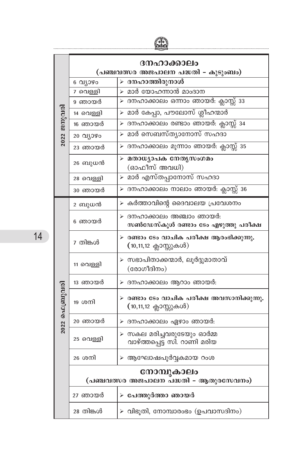|                | ദനഹാക്കാലം |                                                                                  |  |
|----------------|------------|----------------------------------------------------------------------------------|--|
|                |            | (പഞ്ചവത്സര അജപാലന പദ്ധതി - കുടുംബം)                                              |  |
|                | 6 വ്യാഴം   | ≻ ദനഹാത്തിരുനാൾ                                                                  |  |
|                | 7 വെള്ളി   | ≻ മാർ യോഹന്നാൻ മാംദാന                                                            |  |
|                | 9 ഞായർ     | ≻ ദനഹാക്കാലം ഒന്നാം ഞായർ: ക്ലാസ്സ് 33                                            |  |
|                | 14 വെള്ളി  | ≻ മാർ കേപ്പാ, പൗലോസ് ശ്ലീഹന്മാർ                                                  |  |
|                | 16 ഞായർ    | ≻ ദനഹാക്കാലം രണ്ടാം ഞായർ: ക്ലാസ്സ് 34                                            |  |
| $2022$ ജനുവരി  | 20 വ്യാഴം  | ≻ മാർ സെബസ്ത്യാനോസ് സഹദാ                                                         |  |
|                | 23 ഞായർ    | ≻ ദനഹാക്കാലം മൂന്നാം ഞായർ: ക്ലാസ്സ് 35                                           |  |
|                | 26 ബുധൻ    | ≻ മതാധ്യാപക നേതൃസംഗമം<br>(ഓഫീസ് അവധി)                                            |  |
|                | 28 വെള്ളി  | ≻ മാർ എസ്തപ്പാനോസ് സഹദാ                                                          |  |
|                | 30 ഞായർ    | ≻ ദനഹാക്കാലം നാലാം ഞായർ: ക്ലാസ്സ് 36                                             |  |
|                | 2 ബുധൻ     | ≻ കർത്താവിന്റെ ദൈവാലയ പ്രവേശനം                                                   |  |
|                | 6 ഞായർ     | ≻ ദനഹാക്കാലം അഞ്ചാം ഞായർ:<br>സൺഡേസ്കൂൾ രണ്ടാം ടേം എഴുത്തു പരീക്ഷ                 |  |
|                | 7 തിങ്കൾ   | $\triangleright$ രണ്ടാം ടേം വാചിക പരീക്ഷ ആരംഭിക്കുന്നു.<br>(10,11,12 ക്ലാസ്സുകൾ) |  |
|                | 11 വെള്ളി  | ≻ സഭാപിതാക്കന്മാർ, ലൂർദ്ദുമാതാവ്<br>(രോഗീദിനം)                                   |  |
|                | 13 ഞായർ    | ≻ ദനഹാക്കാലം ആറാം ഞായർ:                                                          |  |
| 2022 ഫെബ്രുവരി | 19 ശനി     | ≻ രണ്ടാം ടേം വാചിക പരീക്ഷ അവസാനിക്കുന്നു.<br>(10,11,12 ക്ലാസ്സുകൾ)               |  |
|                | 20 ഞായർ    | ≻ ദനഹാക്കാലം ഏഴാം ഞായർ:                                                          |  |
|                | 25 വെള്ളി  | ≻ സകല മരിച്ചവരുടേയും ഓർമ്മ<br>വാഴ്ത്തപ്പെട്ട സി. റാണി മരിയ                       |  |
|                | 26 ശനി     | ≻ ആഘോഷപൂർവ്വകമായ റംശ                                                             |  |
|                |            | നോമ്പുകാലം<br>(പഞ്ചവത്സര അജപാലന പദ്ധതി - ആതുരസേവനം)                              |  |
|                | 27 ഞായർ    | ≻ പേത്തുർത്താ ഞായർ                                                               |  |
|                | 28 തിങ്കൾ  | $\triangleright$ വിഭൂതി, നോമ്പാരംഭം (ഉപവാസദിനം)                                  |  |

**EX**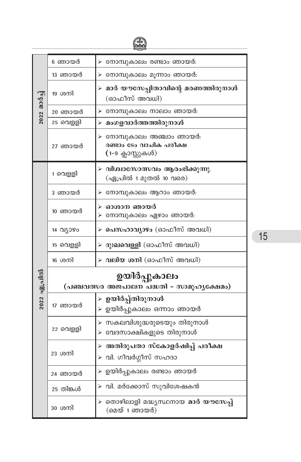$\bigoplus$ 

| 2022 മാർച്ച് | 6 ഞായർ                                                   | ≻ നോമ്പുകാലം രണ്ടാം ഞായർ:                                                |  |
|--------------|----------------------------------------------------------|--------------------------------------------------------------------------|--|
|              | 13 ഞായർ                                                  | ≻ നോമ്പുകാലം മൂന്നാം ഞായർ:                                               |  |
|              | 19 ശനി                                                   | ≻ മാർ യൗസേപ്പിതാവിന്റെ മരണത്തിരുനാൾ<br>(ഓഫീസ് അവധി)                      |  |
|              | 20 ഞായർ                                                  | ≻ നോമ്പുകാലം നാലാം ഞായർ:                                                 |  |
|              | 25 വെള്ളി                                                | ≻ മംഗളവാർത്തത്തിരുനാൾ                                                    |  |
|              | 27 ഞായർ                                                  | ≻ നോമ്പുകാലം അഞ്ചാം ഞായർ:<br>രണ്ടാം ടേം വാചിക പരീക്ഷ<br>(1-9 ക്ലാസ്സുകൾ) |  |
|              | 1 വെളളി                                                  | $\triangleright$ വിശ്വാസോത്സവം ആരംഭിക്കുന്നു.<br>(ഏപ്രിൽ 1 മുതൽ 10 വരെ)  |  |
|              | 3 ഞായർ                                                   | ≻ നോമ്പുകാലം ആറാം ഞായർ:                                                  |  |
|              | 10 ഞായർ                                                  | ≻ ഓശാന ഞായർ<br>≻ നോമ്പുകാലം ഏഴാം ഞായർ:                                   |  |
|              | 14 വ്യാഴം                                                | ≻ പെസഹാവ്യാഴം (ഓഫീസ് അവധി)                                               |  |
|              | 15 വെളളി                                                 | ≻ ദുഃ <mark>ഖവെള്ളി</mark> (ഓഫീസ് അവധി)                                  |  |
|              | 16 ശനി                                                   | ≻ വലിയ ശനി (ഓഫീസ് അവധി)                                                  |  |
| 2022 ഏപ്രിൽ  | ഉയിർപ്പുകാലം<br>(പഞ്ചവത്സര അജപാലന പദ്ധതി - സാമൂഹൃക്ഷേമം) |                                                                          |  |
|              | 17 ഞായർ                                                  | ≻ ഉയിർപ്പ്തിരുനാൾ<br>≻ ഉയിർപ്പുകാലം ഒന്നാം ഞായർ                          |  |
|              | 22 വെള്ളി                                                | ≻ സകലവിശുദ്ധരുടെയും തിരുനാൾ<br>≻ വേദസാക്ഷികളുടെ തിരുനാൾ                  |  |
|              | 23 ശനി                                                   | ≻ അതിരൂപതാ സ്കോളർഷിപ്പ് പരീക്ഷ<br>≻ വി. ഗീവർഗ്ഗീസ് സഹദാ                  |  |
|              | 24 ഞായർ                                                  | ≻ ഉയിർപ്പുകാലം രണ്ടാം ഞായർ                                               |  |
|              | 25 തിങ്കൾ                                                | ≻ വി. മർക്കോസ് സുവിശേഷകൻ                                                 |  |
|              | 30 ശനി                                                   | ≻ തൊഴിലാളി മദ്ധൃസ്ഥനായ മാർ യൗസേപ്പ്<br>(മെയ് 1 ഞായർ)                     |  |